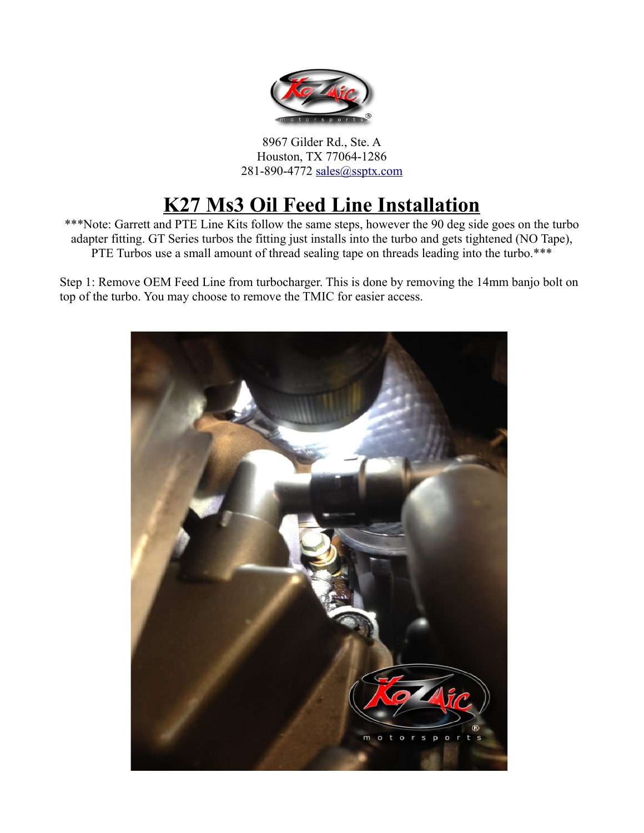

8967 Gilder Rd., Ste. A Houston, TX 77064-1286 281-890-4772 [sales@ssptx.com](mailto:sales@ssptx.com)

## **K27 Ms3 Oil Feed Line Installation**

\*\*\*Note: Garrett and PTE Line Kits follow the same steps, however the 90 deg side goes on the turbo adapter fitting. GT Series turbos the fitting just installs into the turbo and gets tightened (NO Tape), PTE Turbos use a small amount of thread sealing tape on threads leading into the turbo.\*\*\*

Step 1: Remove OEM Feed Line from turbocharger. This is done by removing the 14mm banjo bolt on top of the turbo. You may choose to remove the TMIC for easier access.

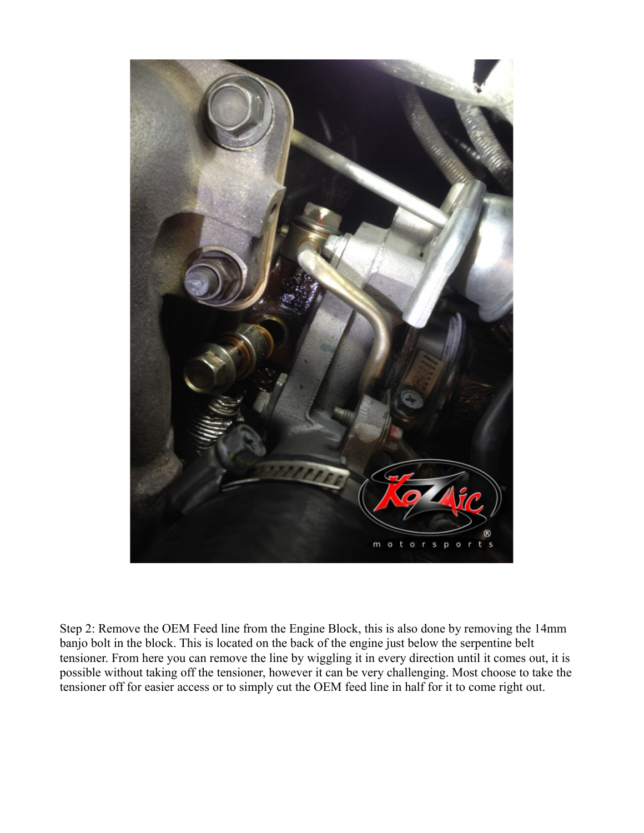

Step 2: Remove the OEM Feed line from the Engine Block, this is also done by removing the 14mm banjo bolt in the block. This is located on the back of the engine just below the serpentine belt tensioner. From here you can remove the line by wiggling it in every direction until it comes out, it is possible without taking off the tensioner, however it can be very challenging. Most choose to take the tensioner off for easier access or to simply cut the OEM feed line in half for it to come right out.